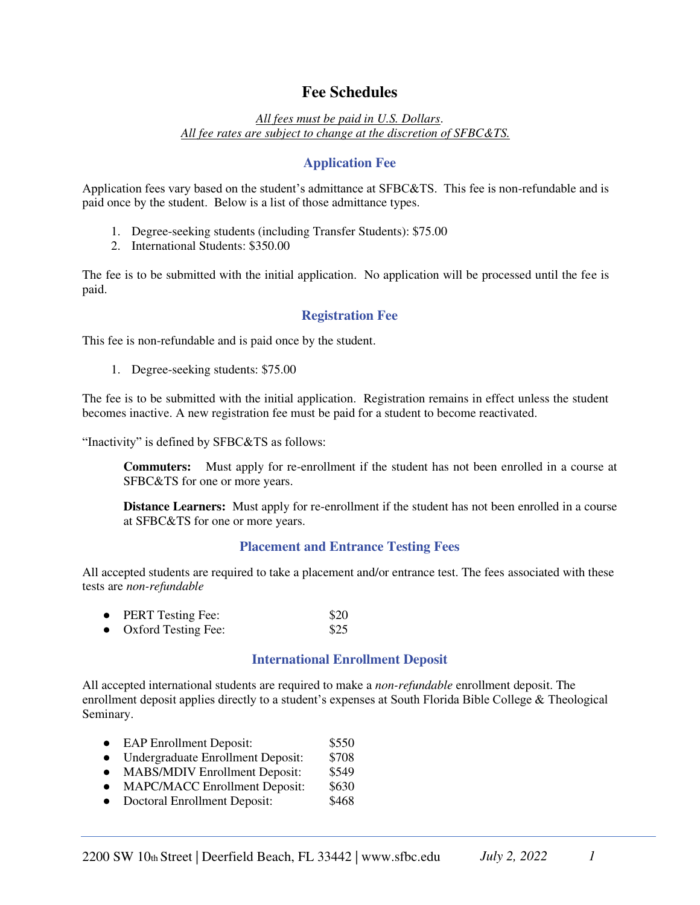# **Fee Schedules**

*All fees must be paid in U.S. Dollars*. *All fee rates are subject to change at the discretion of SFBC&TS.* 

### **Application Fee**

Application fees vary based on the student's admittance at SFBC&TS. This fee is non-refundable and is paid once by the student. Below is a list of those admittance types.

- 1. Degree-seeking students (including Transfer Students): \$75.00
- 2. International Students: \$350.00

The fee is to be submitted with the initial application. No application will be processed until the fee is paid.

#### **Registration Fee**

This fee is non-refundable and is paid once by the student.

1. Degree-seeking students: \$75.00

The fee is to be submitted with the initial application. Registration remains in effect unless the student becomes inactive. A new registration fee must be paid for a student to become reactivated.

"Inactivity" is defined by SFBC&TS as follows:

**Commuters:** Must apply for re-enrollment if the student has not been enrolled in a course at SFBC&TS for one or more years.

**Distance Learners:** Must apply for re-enrollment if the student has not been enrolled in a course at SFBC&TS for one or more years.

#### **Placement and Entrance Testing Fees**

All accepted students are required to take a placement and/or entrance test. The fees associated with these tests are *non-refundable*

| $\bullet$ | <b>PERT Testing Fee:</b>   | \$20 |
|-----------|----------------------------|------|
| $\bullet$ | <b>Oxford Testing Fee:</b> | \$25 |

### **International Enrollment Deposit**

All accepted international students are required to make a *non-refundable* enrollment deposit. The enrollment deposit applies directly to a student's expenses at South Florida Bible College & Theological Seminary.

- EAP Enrollment Deposit: \$550
- Undergraduate Enrollment Deposit: \$708
- MABS/MDIV Enrollment Deposit: \$549<br>• MAPC/MACC Enrollment Deposit: \$630
- MAPC/MACC Enrollment Deposit: \$630<br>● Doctoral Enrollment Deposit: \$468
- Doctoral Enrollment Deposit: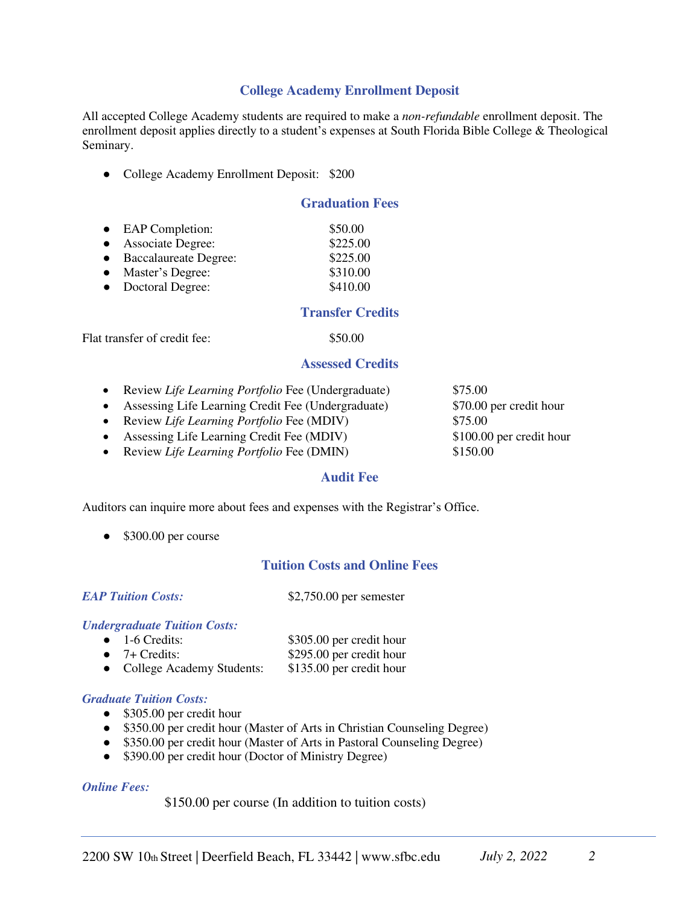### **College Academy Enrollment Deposit**

All accepted College Academy students are required to make a *non-refundable* enrollment deposit. The enrollment deposit applies directly to a student's expenses at South Florida Bible College & Theological Seminary.

• College Academy Enrollment Deposit: \$200

### **Graduation Fees**

| • EAP Completion:       | \$50.00  |
|-------------------------|----------|
| • Associate Degree:     | \$225.00 |
| • Baccalaureate Degree: | \$225.00 |
| • Master's Degree:      | \$310.00 |
| • Doctoral Degree:      | \$410.00 |

#### **Transfer Credits**

Flat transfer of credit fee: \$50.00

#### **Assessed Credits**

- Review *Life Learning Portfolio* Fee (Undergraduate) \$75.00
- Assessing Life Learning Credit Fee (Undergraduate) \$70.00 per credit hour
- Review *Life Learning Portfolio* Fee (MDIV) \$75.00
- Assessing Life Learning Credit Fee (MDIV) \$100.00 per credit hour
- Review *Life Learning Portfolio* Fee (DMIN) \$150.00

#### **Audit Fee**

Auditors can inquire more about fees and expenses with the Registrar's Office.

• \$300.00 per course

### **Tuition Costs and Online Fees**

*EAP Tuition Costs:* \$2,750.00 per semester

#### *Undergraduate Tuition Costs:*

• 1-6 Credits: \$305.00 per credit hour ● 7+ Credits: \$295.00 per credit hour • College Academy Students: \$135.00 per credit hour

#### *Graduate Tuition Costs:*

- \$305.00 per credit hour
- \$350.00 per credit hour (Master of Arts in Christian Counseling Degree)
- \$350.00 per credit hour (Master of Arts in Pastoral Counseling Degree)
- \$390.00 per credit hour (Doctor of Ministry Degree)

#### *Online Fees:*

\$150.00 per course (In addition to tuition costs)

2200 SW 10th Street | Deerfield Beach, FL 33442 | www.sfbc.edu *July 2, 2022* 2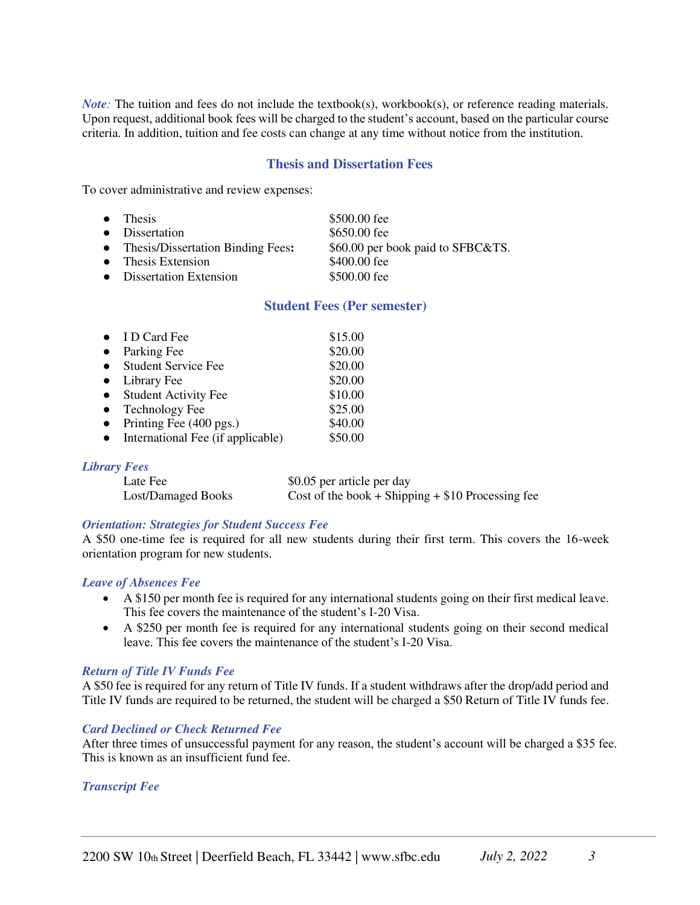*Note*: The tuition and fees do not include the textbook(s), workbook(s), or reference reading materials. Upon request, additional book fees will be charged to the student's account, based on the particular course criteria. In addition, tuition and fee costs can change at any time without notice from the institution.

#### **Thesis and Dissertation Fees**

To cover administrative and review expenses:

- Thesis \$500.00 fee
- Dissertation \$650.00 fee
- 

 $\bullet$  Dissertation Extension

● Thesis/Dissertation Binding Fees**:** \$60.00 per book paid to SFBC&TS. • Thesis Extension \$400.00 fee<br>
• Dissertation Extension \$500 00 fee

#### **Student Fees (Per semester)**

|           | $\bullet$ ID Card Fee             | \$15.00 |
|-----------|-----------------------------------|---------|
| $\bullet$ | Parking Fee                       | \$20.00 |
| $\bullet$ | <b>Student Service Fee</b>        | \$20.00 |
| $\bullet$ | Library Fee                       | \$20.00 |
| $\bullet$ | <b>Student Activity Fee</b>       | \$10.00 |
| $\bullet$ | <b>Technology Fee</b>             | \$25.00 |
| $\bullet$ | Printing Fee (400 pgs.)           | \$40.00 |
|           | International Fee (if applicable) | \$50.00 |

#### *Library Fees*

| Late Fee           | \$0.05 per article per day                         |
|--------------------|----------------------------------------------------|
| Lost/Damaged Books | Cost of the book + Shipping + $$10$ Processing fee |

#### *Orientation: Strategies for Student Success Fee*

A \$50 one-time fee is required for all new students during their first term. This covers the 16-week orientation program for new students.

#### *Leave of Absences Fee*

- A \$150 per month fee is required for any international students going on their first medical leave. This fee covers the maintenance of the student's I-20 Visa.
- A \$250 per month fee is required for any international students going on their second medical leave. This fee covers the maintenance of the student's I-20 Visa.

#### *Return of Title IV Funds Fee*

A \$50 fee is required for any return of Title IV funds. If a student withdraws after the drop/add period and Title IV funds are required to be returned, the student will be charged a \$50 Return of Title IV funds fee.

#### *Card Declined or Check Returned Fee*

After three times of unsuccessful payment for any reason, the student's account will be charged a \$35 fee. This is known as an insufficient fund fee.

#### *Transcript Fee*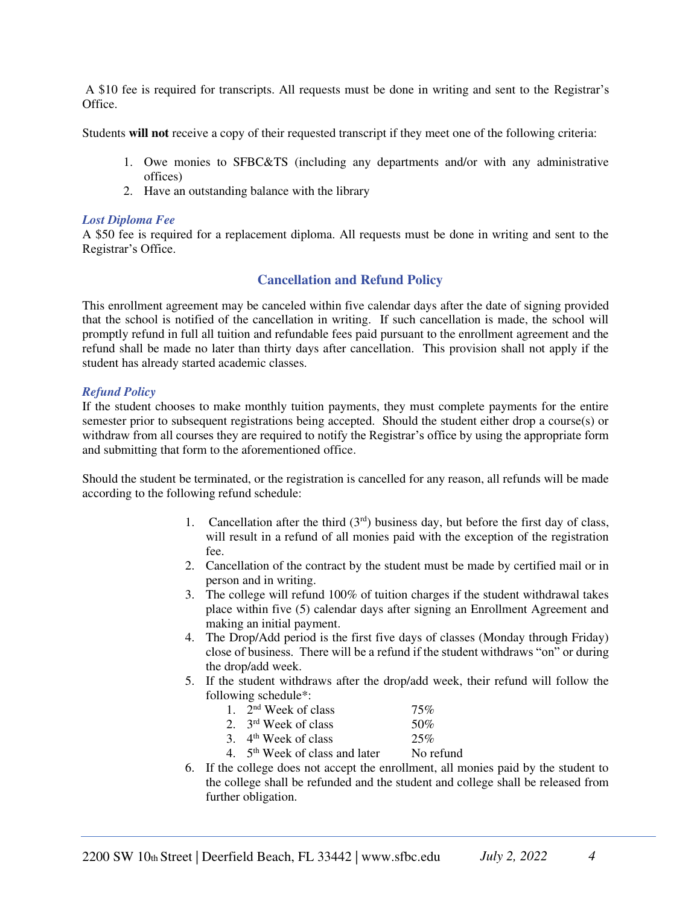A \$10 fee is required for transcripts. All requests must be done in writing and sent to the Registrar's Office.

Students **will not** receive a copy of their requested transcript if they meet one of the following criteria:

- 1. Owe monies to SFBC&TS (including any departments and/or with any administrative offices)
- 2. Have an outstanding balance with the library

#### *Lost Diploma Fee*

A \$50 fee is required for a replacement diploma. All requests must be done in writing and sent to the Registrar's Office.

### **Cancellation and Refund Policy**

This enrollment agreement may be canceled within five calendar days after the date of signing provided that the school is notified of the cancellation in writing. If such cancellation is made, the school will promptly refund in full all tuition and refundable fees paid pursuant to the enrollment agreement and the refund shall be made no later than thirty days after cancellation. This provision shall not apply if the student has already started academic classes.

#### *Refund Policy*

If the student chooses to make monthly tuition payments, they must complete payments for the entire semester prior to subsequent registrations being accepted. Should the student either drop a course(s) or withdraw from all courses they are required to notify the Registrar's office by using the appropriate form and submitting that form to the aforementioned office.

Should the student be terminated, or the registration is cancelled for any reason, all refunds will be made according to the following refund schedule:

- 1. Cancellation after the third  $(3<sup>rd</sup>)$  business day, but before the first day of class, will result in a refund of all monies paid with the exception of the registration fee.
- 2. Cancellation of the contract by the student must be made by certified mail or in person and in writing.
- 3. The college will refund 100% of tuition charges if the student withdrawal takes place within five (5) calendar days after signing an Enrollment Agreement and making an initial payment.
- 4. The Drop/Add period is the first five days of classes (Monday through Friday) close of business. There will be a refund if the student withdraws "on" or during the drop/add week.
- 5. If the student withdraws after the drop/add week, their refund will follow the following schedule\*:

| 75%       |
|-----------|
| 50%       |
| 25%       |
| No refund |
|           |

6. If the college does not accept the enrollment, all monies paid by the student to the college shall be refunded and the student and college shall be released from further obligation.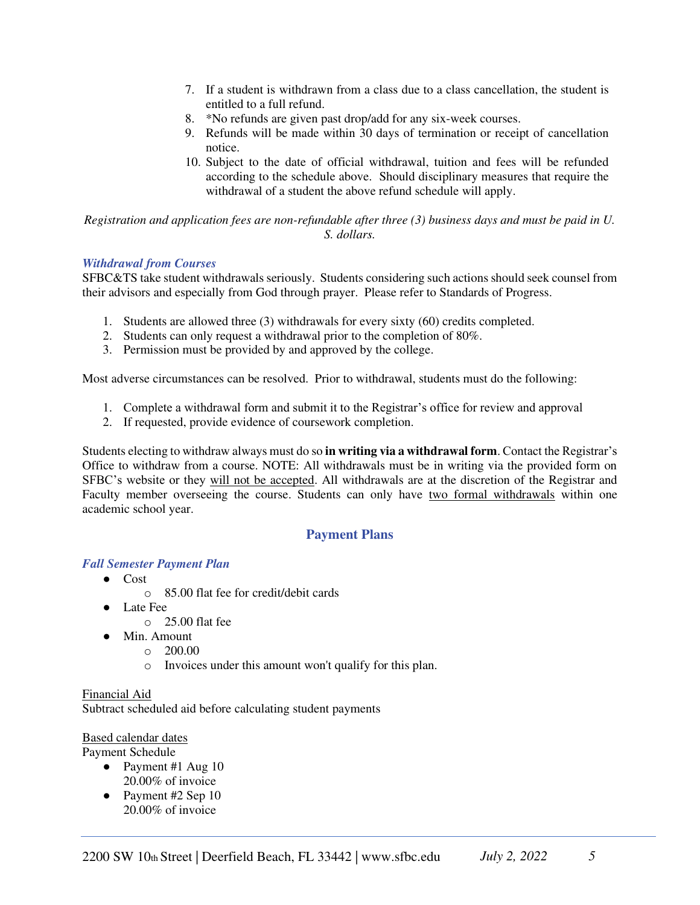- 7. If a student is withdrawn from a class due to a class cancellation, the student is entitled to a full refund.
- 8. \*No refunds are given past drop/add for any six-week courses.
- 9. Refunds will be made within 30 days of termination or receipt of cancellation notice.
- 10. Subject to the date of official withdrawal, tuition and fees will be refunded according to the schedule above. Should disciplinary measures that require the withdrawal of a student the above refund schedule will apply.

*Registration and application fees are non-refundable after three (3) business days and must be paid in U. S. dollars.* 

#### *Withdrawal from Courses*

SFBC&TS take student withdrawals seriously. Students considering such actions should seek counsel from their advisors and especially from God through prayer. Please refer to Standards of Progress.

- 1. Students are allowed three (3) withdrawals for every sixty (60) credits completed.
- 2. Students can only request a withdrawal prior to the completion of 80%.
- 3. Permission must be provided by and approved by the college.

Most adverse circumstances can be resolved. Prior to withdrawal, students must do the following:

- 1. Complete a withdrawal form and submit it to the Registrar's office for review and approval
- 2. If requested, provide evidence of coursework completion.

Students electing to withdraw always must do so **in writing via a withdrawal form**. Contact the Registrar's Office to withdraw from a course. NOTE: All withdrawals must be in writing via the provided form on SFBC's website or they will not be accepted. All withdrawals are at the discretion of the Registrar and Faculty member overseeing the course. Students can only have two formal withdrawals within one academic school year.

### **Payment Plans**

#### *Fall Semester Payment Plan*

- Cost
	- o 85.00 flat fee for credit/debit cards
- Late Fee
	- o 25.00 flat fee
- Min. Amount
	- $O = 200.00$
	- o Invoices under this amount won't qualify for this plan.

Financial Aid Subtract scheduled aid before calculating student payments

### Based calendar dates

Payment Schedule

- Payment #1 Aug 10 20.00% of invoice
- Payment #2 Sep 10 20.00% of invoice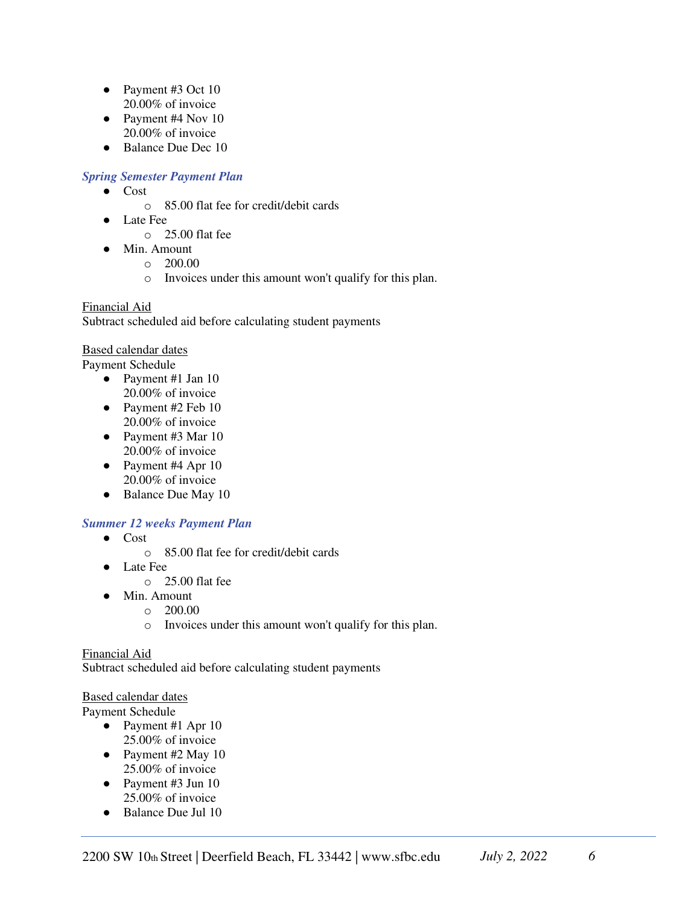- Payment #3 Oct 10 20.00% of invoice
- Payment #4 Nov 10 20.00% of invoice
- Balance Due Dec 10

### *Spring Semester Payment Plan*

- Cost
	- o 85.00 flat fee for credit/debit cards
	- **Late Fee** 
		- $\circ$  25.00 flat fee
- Min. Amount
	- o 200.00
	- o Invoices under this amount won't qualify for this plan.

### Financial Aid

Subtract scheduled aid before calculating student payments

### Based calendar dates

Payment Schedule

- Payment #1 Jan 10 20.00% of invoice
- Payment #2 Feb 10 20.00% of invoice
- Payment #3 Mar 10 20.00% of invoice
- Payment #4 Apr 10 20.00% of invoice
- Balance Due May 10

## *Summer 12 weeks Payment Plan*

- Cost
	- o 85.00 flat fee for credit/debit cards
- **Late Fee** 
	- o 25.00 flat fee
- Min. Amount
	- $\circ$  200.00
	- o Invoices under this amount won't qualify for this plan.

### Financial Aid

Subtract scheduled aid before calculating student payments

### Based calendar dates

Payment Schedule

- Payment #1 Apr 10 25.00% of invoice
- Payment #2 May 10 25.00% of invoice
- Payment #3 Jun 10 25.00% of invoice
- Balance Due Jul 10